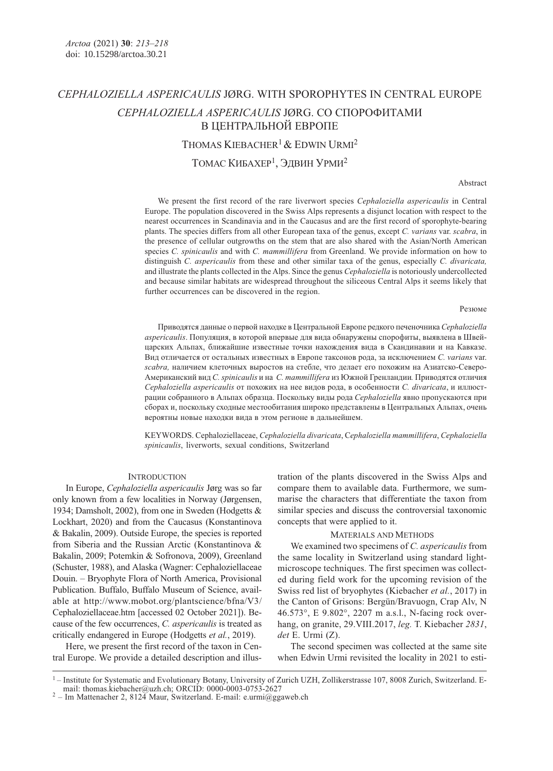# CEPHALOZIELLA ASPERICAULIS JØRG. WITH SPOROPHYTES IN CENTRAL EUROPE CEPHALOZIELLA ASPERICAULIS JØRG. СО СПОРОФИТАМИ В ЦЕНТРАЛЬНОЙ ЕВРОПЕ THOMAS KIEBACHER<sup>1</sup> & EDWIN URMI<sup>2</sup>

ТОМАС КИБАХЕР1, ЭДВИН УРМИ<sup>2</sup>

Abstract

We present the first record of the rare liverwort species Cephaloziella aspericaulis in Central Europe. The population discovered in the Swiss Alps represents a disjunct location with respect to the nearest occurrences in Scandinavia and in the Caucasus and are the first record of sporophyte-bearing plants. The species differs from all other European taxa of the genus, except C. varians var. scabra, in the presence of cellular outgrowths on the stem that are also shared with the Asian/North American species C. spinicaulis and with C. mammillifera from Greenland. We provide information on how to distinguish C. aspericaulis from these and other similar taxa of the genus, especially C. divaricata, and illustrate the plants collected in the Alps. Since the genus Cephaloziella is notoriously undercollected and because similar habitats are widespread throughout the siliceous Central Alps it seems likely that further occurrences can be discovered in the region.

#### Резюме

Приводятся данные о первой находке в Центральной Европе редкого печеночника Cephaloziella aspericaulis. Популяция, в которой впервые для вида обнаружены спорофиты, выявлена в Швейцарских Альпах, ближайшие известные точки нахождения вида в Скандинавии и на Кавказе. Вид отличается от остальных известных в Европе таксонов рода, за исключением C. varians var. scabra, наличием клеточных выростов на стебле, что делает его похожим на Азиатско-Северо-Американский вид C. spinicaulis и на C. mammillifera из Южной Гренландии. Приводятся отличия Cephaloziella aspericaulis от похожих на нее видов рода, в особенности C. divaricata, и иллюстрации собранного в Альпах образца. Поскольку виды рода Cephaloziella явно пропускаются при сборах и, поскольку сходные местообитания широко представлены в Центральных Альпах, очень вероятны новые находки вида в этом регионе в дальнейшем.

KEYWORDS. Cephaloziellaceae, Cephaloziella divaricata, Cephaloziella mammillifera, Cephaloziella spinicaulis, liverworts, sexual conditions, Switzerland

## **INTRODUCTION**

In Europe, Cephaloziella aspericaulis Jørg was so far only known from a few localities in Norway (Jørgensen, 1934; Damsholt, 2002), from one in Sweden (Hodgetts & Lockhart, 2020) and from the Caucasus (Konstantinova & Bakalin, 2009). Outside Europe, the species is reported from Siberia and the Russian Arctic (Konstantinova & Bakalin, 2009; Potemkin & Sofronova, 2009), Greenland (Schuster, 1988), and Alaska (Wagner: Cephaloziellaceae Douin. – Bryophyte Flora of North America, Provisional Publication. Buffalo, Buffalo Museum of Science, available at http://www.mobot.org/plantscience/bfna/V3/ Cephaloziellaceae.htm [accessed 02 October 2021]). Because of the few occurrences, C. aspericaulis is treated as critically endangered in Europe (Hodgetts et al., 2019).

Here, we present the first record of the taxon in Central Europe. We provide a detailed description and illustration of the plants discovered in the Swiss Alps and compare them to available data. Furthermore, we summarise the characters that differentiate the taxon from similar species and discuss the controversial taxonomic concepts that were applied to it.

## MATERIALS AND METHODS

We examined two specimens of C. aspericaulis from the same locality in Switzerland using standard lightmicroscope techniques. The first specimen was collected during field work for the upcoming revision of the Swiss red list of bryophytes (Kiebacher et al., 2017) in the Canton of Grisons: Bergün/Bravuogn, Crap Alv, N 46.573°, E 9.802°, 2207 m a.s.l., N-facing rock overhang, on granite, 29. VIII. 2017, leg. T. Kiebacher 2831, det E. Urmi (Z).

The second specimen was collected at the same site when Edwin Urmi revisited the locality in 2021 to esti-

<sup>&</sup>lt;sup>1</sup> – Institute for Systematic and Evolutionary Botany, University of Zurich UZH, Zollikerstrasse 107, 8008 Zurich, Switzerland. E-mail: thomas.kiebacher@uzh.ch; ORCID: 0000-0003-0753-2627

 $2$  – Im Mattenacher 2, 8124 Maur, Switzerland. E-mail: e.urmi@ggaweb.ch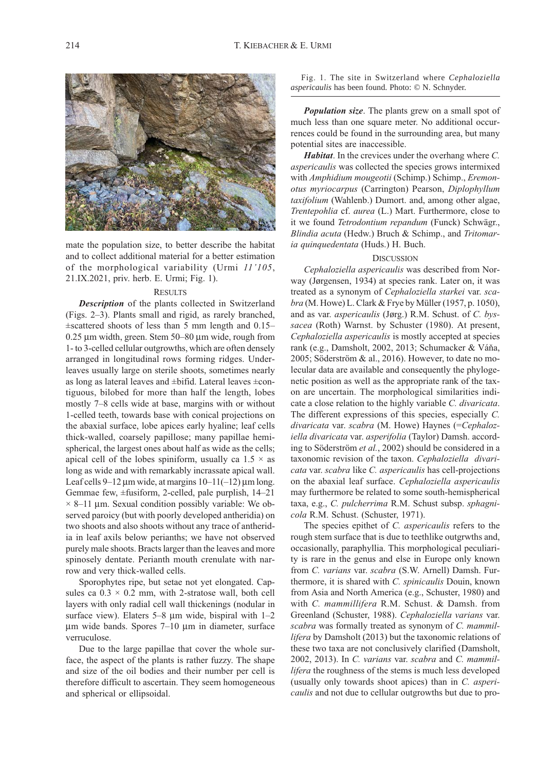mate the population size, to better describe the habitat and to collect additional material for a better estimation of the morphological variability (Urmi 11'105, 21.IX.2021, priv. herb. E. Urmi; Fig. 1).

## **RESULTS**

Description of the plants collected in Switzerland (Figs. 2–3). Plants small and rigid, as rarely branched,  $\pm$ scattered shoots of less than 5 mm length and 0.15– 0.25 μm width, green. Stem 50–80 μm wide, rough from 1- to 3-celled cellular outgrowths, which are often densely arranged in longitudinal rows forming ridges. Underleaves usually large on sterile shoots, sometimes nearly as long as lateral leaves and ±bifid. Lateral leaves ±contiguous, bilobed for more than half the length, lobes mostly 7–8 cells wide at base, margins with or without 1-celled teeth, towards base with conical projections on the abaxial surface, lobe apices early hyaline; leaf cells thick-walled, coarsely papillose; many papillae hemispherical, the largest ones about half as wide as the cells; apical cell of the lobes spiniform, usually ca  $1.5 \times$  as long as wide and with remarkably incrassate apical wall. Leaf cells 9–12 μm wide, at margins  $10-11(-12)$  μm long. Gemmae few, ±fusiform, 2-celled, pale purplish, 14–21  $\times$  8–11 µm. Sexual condition possibly variable: We observed paroicy (but with poorly developed antheridia) on two shoots and also shoots without any trace of antheridia in leaf axils below perianths; we have not observed purely male shoots. Bracts larger than the leaves and more spinosely dentate. Perianth mouth crenulate with narrow and very thick-walled cells.

Sporophytes ripe, but setae not yet elongated. Capsules ca  $0.3 \times 0.2$  mm, with 2-stratose wall, both cell layers with only radial cell wall thickenings (nodular in surface view). Elaters 5–8 μm wide, bispiral with 1–2 μm wide bands. Spores 7–10 μm in diameter, surface verruculose.

Due to the large papillae that cover the whole surface, the aspect of the plants is rather fuzzy. The shape and size of the oil bodies and their number per cell is therefore difficult to ascertain. They seem homogeneous and spherical or ellipsoidal.

Fig. 1. The site in Switzerland where *Cephaloziella aspericaulis* has been found. Photo: © N. Schnyder.

Population size. The plants grew on a small spot of much less than one square meter. No additional occurrences could be found in the surrounding area, but many potential sites are inaccessible.

Habitat. In the crevices under the overhang where C. aspericaulis was collected the species grows intermixed with Amphidium mougeotii (Schimp.) Schimp., Eremonotus myriocarpus (Carrington) Pearson, Diplophyllum taxifolium (Wahlenb.) Dumort. and, among other algae, Trentepohlia cf. aurea (L.) Mart. Furthermore, close to it we found Tetrodontium repandum (Funck) Schwägr., Blindia acuta (Hedw.) Bruch & Schimp., and Tritomaria quinquedentata (Huds.) H. Buch.

#### **DISCUSSION**

Cephaloziella aspericaulis was described from Norway (Jørgensen, 1934) at species rank. Later on, it was treated as a synonym of Cephaloziella starkei var. scabra (M. Howe) L. Clark & Frye by Müller (1957, p. 1050), and as var. aspericaulis (Jørg.) R.M. Schust. of C. byssacea (Roth) Warnst. by Schuster (1980). At present, Cephaloziella aspericaulis is mostly accepted at species rank (e.g., Damsholt, 2002, 2013; Schumacker & Váňa, 2005; Söderström & al., 2016). However, to date no molecular data are available and consequently the phylogenetic position as well as the appropriate rank of the taxon are uncertain. The morphological similarities indicate a close relation to the highly variable C. divaricata. The different expressions of this species, especially C. divaricata var. scabra (M. Howe) Haynes (=Cephaloziella divaricata var. asperifolia (Taylor) Damsh. according to Söderström et al., 2002) should be considered in a taxonomic revision of the taxon. Cephaloziella divaricata var. scabra like C. aspericaulis has cell-projections on the abaxial leaf surface. Cephaloziella aspericaulis may furthermore be related to some south-hemispherical taxa, e.g., C. pulcherrima R.M. Schust subsp. sphagnicola R.M. Schust. (Schuster, 1971).

The species epithet of C. *aspericaulis* refers to the rough stem surface that is due to teethlike outgrwths and, occasionally, paraphyllia. This morphological peculiarity is rare in the genus and else in Europe only known from C. varians var. scabra (S.W. Arnell) Damsh. Furthermore, it is shared with C. spinicaulis Douin, known from Asia and North America (e.g., Schuster, 1980) and with C. mammillifera R.M. Schust. & Damsh. from Greenland (Schuster, 1988). Cephaloziella varians var. scabra was formally treated as synonym of C. mammillifera by Damsholt (2013) but the taxonomic relations of these two taxa are not conclusively clarified (Damsholt, 2002, 2013). In C. varians var. scabra and C. mammillifera the roughness of the stems is much less developed (usually only towards shoot apices) than in C. aspericaulis and not due to cellular outgrowths but due to pro-

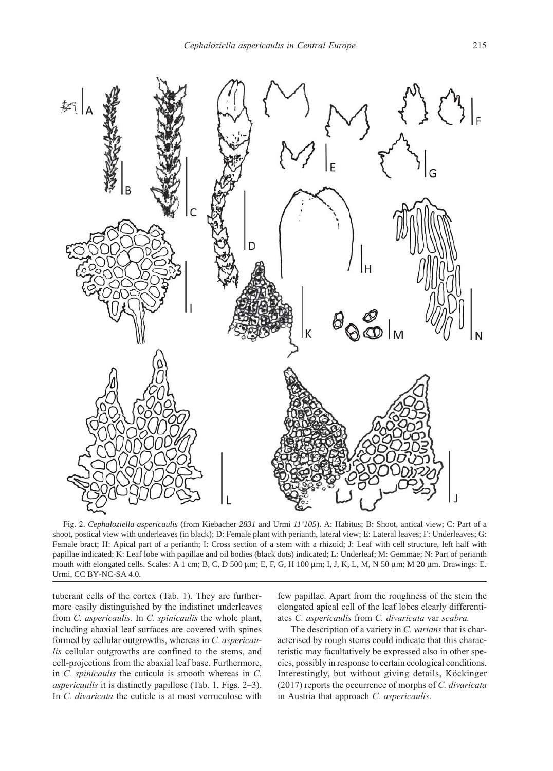

Fig. 2. *Cephaloziella aspericaulis* (from Kiebacher *2831* and Urmi *11'105*). A: Habitus; B: Shoot, antical view; C: Part of a shoot, postical view with underleaves (in black); D: Female plant with perianth, lateral view; E: Lateral leaves; F: Underleaves; G: Female bract; H: Apical part of a perianth; I: Cross section of a stem with a rhizoid; J: Leaf with cell structure, left half with papillae indicated; K: Leaf lobe with papillae and oil bodies (black dots) indicated; L: Underleaf; M: Gemmae; N: Part of perianth mouth with elongated cells. Scales: A 1 cm; B, C, D 500 μm; E, F, G, H 100 μm; I, J, K, L, M, N 50 μm; M 20 μm. Drawings: E. Urmi, CC BY-NC-SA 4.0.

tuberant cells of the cortex (Tab. 1). They are furthermore easily distinguished by the indistinct underleaves from C. aspericaulis. In C. spinicaulis the whole plant, including abaxial leaf surfaces are covered with spines formed by cellular outgrowths, whereas in C. aspericaulis cellular outgrowths are confined to the stems, and cell-projections from the abaxial leaf base. Furthermore, in C. spinicaulis the cuticula is smooth whereas in C. aspericaulis it is distinctly papillose (Tab. 1, Figs. 2–3). In C. divaricata the cuticle is at most verruculose with

few papillae. Apart from the roughness of the stem the elongated apical cell of the leaf lobes clearly differentiates C. aspericaulis from C. divaricata var scabra.

The description of a variety in C. varians that is characterised by rough stems could indicate that this characteristic may facultatively be expressed also in other species, possibly in response to certain ecological conditions. Interestingly, but without giving details, Köckinger (2017) reports the occurrence of morphs of C. divaricata in Austria that approach C. aspericaulis.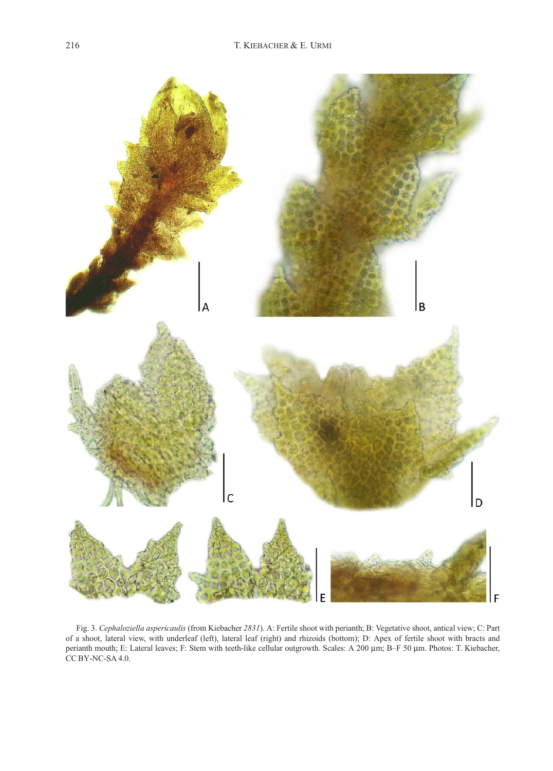

Fig. 3. Cephaloziella aspericaulis (from Kiebacher 2831). A: Fertile shoot with perianth; B: Vegetative shoot, antical view; C: Part of a shoot, lateral view, with underleaf (left), lateral leaf (right) and rhizoids (bottom); D: Apex of fertile shoot with bracts and perianth mouth; E: Lateral leaves; F: Stem with teeth-like cellular outgrowth. Scales: A 200 μm; B–F 50 μm. Photos: T. Kiebacher, CC BY-NC-SA 4.0.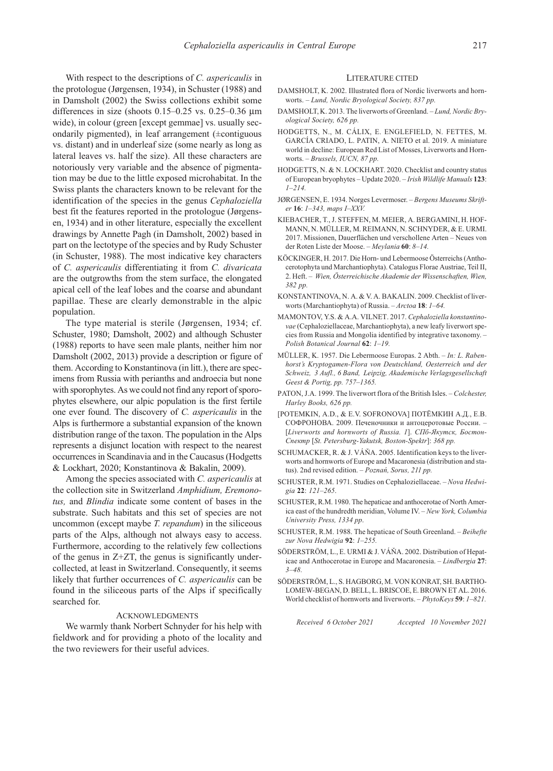With respect to the descriptions of C. *aspericaulis* in the protologue (Jørgensen, 1934), in Schuster (1988) and in Damsholt (2002) the Swiss collections exhibit some differences in size (shoots  $0.15-0.25$  vs.  $0.25-0.36$   $\mu$ m wide), in colour (green [except gemmae] vs. usually secondarily pigmented), in leaf arrangement (±contiguous vs. distant) and in underleaf size (some nearly as long as lateral leaves vs. half the size). All these characters are notoriously very variable and the absence of pigmentation may be due to the little exposed microhabitat. In the Swiss plants the characters known to be relevant for the identification of the species in the genus Cephaloziella best fit the features reported in the protologue (Jørgensen, 1934) and in other literature, especially the excellent drawings by Annette Pagh (in Damsholt, 2002) based in part on the lectotype of the species and by Rudy Schuster (in Schuster, 1988). The most indicative key characters of C. aspericaulis differentiating it from C. divaricata are the outgrowths from the stem surface, the elongated apical cell of the leaf lobes and the coarse and abundant papillae. These are clearly demonstrable in the alpic population.

The type material is sterile (Jørgensen, 1934; cf. Schuster, 1980; Damsholt, 2002) and although Schuster (1988) reports to have seen male plants, neither him nor Damsholt (2002, 2013) provide a description or figure of them. According to Konstantinova (in litt.), there are specimens from Russia with perianths and androecia but none with sporophytes. As we could not find any report of sporophytes elsewhere, our alpic population is the first fertile one ever found. The discovery of C. aspericaulis in the Alps is furthermore a substantial expansion of the known distribution range of the taxon. The population in the Alps represents a disjunct location with respect to the nearest occurrences in Scandinavia and in the Caucasus (Hodgetts & Lockhart, 2020; Konstantinova & Bakalin, 2009).

Among the species associated with C. aspericaulis at the collection site in Switzerland Amphidium, Eremonotus, and Blindia indicate some content of bases in the substrate. Such habitats and this set of species are not uncommon (except maybe T. repandum) in the siliceous parts of the Alps, although not always easy to access. Furthermore, according to the relatively few collections of the genus in Z+ZT, the genus is significantly undercollected, at least in Switzerland. Consequently, it seems likely that further occurrences of C. aspericaulis can be found in the siliceous parts of the Alps if specifically searched for.

### ACKNOWLEDGMENTS

We warmly thank Norbert Schnyder for his help with fieldwork and for providing a photo of the locality and the two reviewers for their useful advices.

#### LITERATURE CITED

- DAMSHOLT K. 2002. Illustrated flora of Nordic liverworts and hornworts. – Lund, Nordic Bryological Society, 837 pp.
- DAMSHOLT, K. 2013. The liverworts of Greenland. Lund, Nordic Bryological Society, 626 pp.
- HODGETTS, N., M. CÁLIX, E. ENGLEFIELD, N. FETTES, M. GARCÍA CRIADO, L. PATIN, A. NIETO et al. 2019. A miniature world in decline: European Red List of Mosses, Liverworts and Hornworts. – Brussels, IUCN, 87 pp.
- HODGETTS, N. & N. LOCKHART. 2020. Checklist and country status of European bryophytes – Update 2020. – Irish Wildlife Manuals 123:  $1 - 214.$
- JØRGENSEN, E. 1934. Norges Levermoser. Bergens Museums Skrifter 16: 1–343, maps I–XXV.
- KIEBACHER, T., J. STEFFEN, M. MEIER, A. BERGAMINI, H. HOF-MANN, N. MÜLLER, M. REIMANN, N. SCHNYDER, & E. URMI. 2017. Missionen, Dauerflächen und verschollene Arten – Neues von der Roten Liste der Moose. – Meylania 60: 8–14.
- KÖCKINGER, H. 2017. Die Horn- und Lebermoose Österreichs (Anthocerotophyta und Marchantiophyta). Catalogus Florae Austriae, Teil II, 2. Heft. – Wien, Österreichische Akademie der Wissenschaften, Wien, 382 pp.
- KONSTANTINOVA, N. A. & V. A. BAKALIN. 2009. Checklist of liverworts (Marchantiophyta) of Russia. – Arctoa 18: 1–64.
- MAMONTOV, Y.S. & A.A. VILNET. 2017. Cephaloziella konstantinovae (Cephaloziellaceae, Marchantiophyta), a new leafy liverwort species from Russia and Mongolia identified by integrative taxonomy. – Polish Botanical Journal 62: 1–19.
- MÜLLER, K. 1957. Die Lebermoose Europas. 2 Abth. In: L. Rabenhorst's Kryptogamen-Flora von Deutschland, Oesterreich und der Schweiz, 3 Aufl., 6 Band, Leipzig, Akademische Verlagsgesellschaft Geest & Portig, pp. 757–1365.
- PATON, J.A. 1999. The liverwort flora of the British Isles. Colchester, Harley Books, 626 pp.
- [POTEMKIN, A.D., & E.V. SOFRONOVA] ПОТЁМКИН А.Д., Е.В. СОФРОНОВА. 2009. Печеночники и антоцеротовые России. – [Liverworts and hornworts of Russia. 1]. СПб-Якутск, Бостон-Спектр [St. Petersburg-Yakutsk, Boston-Spektr]: 368 pp.
- SCHUMACKER, R. & J. VÁŇA. 2005. Identification keys to the liverworts and hornworts of Europe and Macaronesia (distribution and status). 2nd revised edition. – Poznań, Sorus, 211 pp.
- SCHUSTER, R.M. 1971. Studies on Cephaloziellaceae. Nova Hedwigia 22: 121–265.
- SCHUSTER, R.M. 1980. The hepaticae and anthocerotae of North America east of the hundredth meridian, Volume IV. – New York, Columbia University Press, 1334 pp.
- SCHUSTER, R.M. 1988. The hepaticae of South Greenland. Beihefte zur Nova Hedwigia 92: 1–255.
- SÖDERSTRÖM, L., E. URMI & J. VÁŇA. 2002. Distribution of Hepaticae and Anthocerotae in Europe and Macaronesia. – Lindbergia 27: 3–48.
- SÖDERSTRÖM, L., S. HAGBORG, M. VON KONRAT, SH. BARTHO-LOMEW-BEGAN, D. BELL, L. BRISCOE, E. BROWN ET AL. 2016. World checklist of hornworts and liverworts. - PhytoKeys 59: 1-821.

Received 6 October 2021 Accepted 10 November 2021